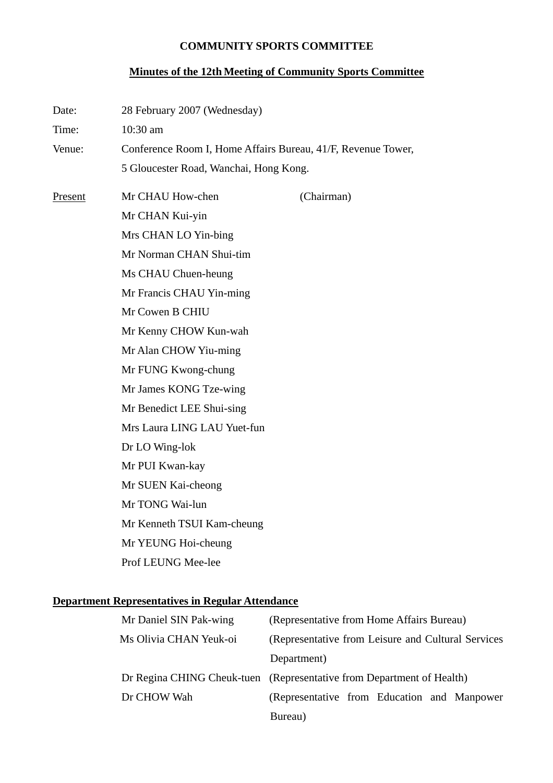# **COMMUNITY SPORTS COMMITTEE**

# **Minutes of the 12th Meeting of Community Sports Committee**

| Date:   | 28 February 2007 (Wednesday)                                                                                                                                                                                                                                                                                                                                                                              |            |  |
|---------|-----------------------------------------------------------------------------------------------------------------------------------------------------------------------------------------------------------------------------------------------------------------------------------------------------------------------------------------------------------------------------------------------------------|------------|--|
| Time:   | 10:30 am                                                                                                                                                                                                                                                                                                                                                                                                  |            |  |
| Venue:  | Conference Room I, Home Affairs Bureau, 41/F, Revenue Tower,                                                                                                                                                                                                                                                                                                                                              |            |  |
|         | 5 Gloucester Road, Wanchai, Hong Kong.                                                                                                                                                                                                                                                                                                                                                                    |            |  |
| Present | Mr CHAU How-chen<br>Mr CHAN Kui-yin<br>Mrs CHAN LO Yin-bing<br>Mr Norman CHAN Shui-tim<br>Ms CHAU Chuen-heung<br>Mr Francis CHAU Yin-ming<br>Mr Cowen B CHIU<br>Mr Kenny CHOW Kun-wah<br>Mr Alan CHOW Yiu-ming<br>Mr FUNG Kwong-chung<br>Mr James KONG Tze-wing<br>Mr Benedict LEE Shui-sing<br>Mrs Laura LING LAU Yuet-fun<br>Dr LO Wing-lok<br>Mr PUI Kwan-kay<br>Mr SUEN Kai-cheong<br>Mr TONG Wai-lun | (Chairman) |  |
|         | Mr Kenneth TSUI Kam-cheung                                                                                                                                                                                                                                                                                                                                                                                |            |  |
|         |                                                                                                                                                                                                                                                                                                                                                                                                           |            |  |
|         | Mr YEUNG Hoi-cheung                                                                                                                                                                                                                                                                                                                                                                                       |            |  |
|         | Prof LEUNG Mee-lee                                                                                                                                                                                                                                                                                                                                                                                        |            |  |
|         |                                                                                                                                                                                                                                                                                                                                                                                                           |            |  |

# **Department Representatives in Regular Attendance**

| Mr Daniel SIN Pak-wing | (Representative from Home Affairs Bureau)                             |
|------------------------|-----------------------------------------------------------------------|
| Ms Olivia CHAN Yeuk-oi | (Representative from Leisure and Cultural Services)                   |
|                        | Department)                                                           |
|                        | Dr Regina CHING Cheuk-tuen (Representative from Department of Health) |
| Dr CHOW Wah            | (Representative from Education and Manpower)                          |
|                        | Bureau)                                                               |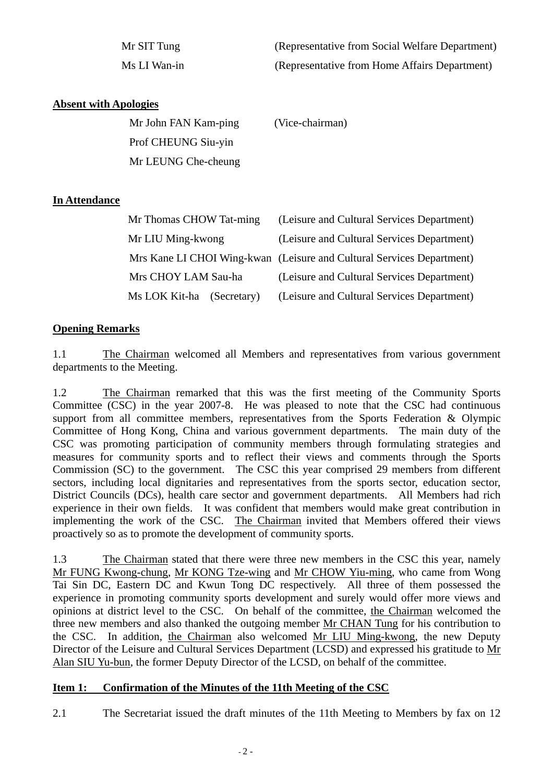| Mr SIT Tung  | (Representative from Social Welfare Department) |
|--------------|-------------------------------------------------|
| Ms LI Wan-in | (Representative from Home Affairs Department)   |

#### **Absent with Apologies**

Mr John FAN Kam-ping (Vice-chairman) Prof CHEUNG Siu-yin Mr LEUNG Che-cheung

#### **In Attendance**

| Mr Thomas CHOW Tat-ming   | (Leisure and Cultural Services Department)                            |
|---------------------------|-----------------------------------------------------------------------|
| Mr LIU Ming-kwong         | (Leisure and Cultural Services Department)                            |
|                           | Mrs Kane LI CHOI Wing-kwan (Leisure and Cultural Services Department) |
| Mrs CHOY LAM Sau-ha       | (Leisure and Cultural Services Department)                            |
| Ms LOK Kit-ha (Secretary) | (Leisure and Cultural Services Department)                            |

#### **Opening Remarks**

1.1 The Chairman welcomed all Members and representatives from various government departments to the Meeting.

1.2 The Chairman remarked that this was the first meeting of the Community Sports Committee (CSC) in the year 2007-8. He was pleased to note that the CSC had continuous support from all committee members, representatives from the Sports Federation & Olympic Committee of Hong Kong, China and various government departments. The main duty of the CSC was promoting participation of community members through formulating strategies and measures for community sports and to reflect their views and comments through the Sports Commission (SC) to the government. The CSC this year comprised 29 members from different sectors, including local dignitaries and representatives from the sports sector, education sector, District Councils (DCs), health care sector and government departments. All Members had rich experience in their own fields. It was confident that members would make great contribution in implementing the work of the CSC. The Chairman invited that Members offered their views proactively so as to promote the development of community sports.

1.3 The Chairman stated that there were three new members in the CSC this year, namely Mr FUNG Kwong-chung, Mr KONG Tze-wing and Mr CHOW Yiu-ming, who came from Wong Tai Sin DC, Eastern DC and Kwun Tong DC respectively. All three of them possessed the experience in promoting community sports development and surely would offer more views and opinions at district level to the CSC. On behalf of the committee, the Chairman welcomed the three new members and also thanked the outgoing member Mr CHAN Tung for his contribution to the CSC. In addition, the Chairman also welcomed Mr LIU Ming-kwong, the new Deputy Director of the Leisure and Cultural Services Department (LCSD) and expressed his gratitude to Mr Alan SIU Yu-bun, the former Deputy Director of the LCSD, on behalf of the committee.

### **Item 1: Confirmation of the Minutes of the 11th Meeting of the CSC**

2.1 The Secretariat issued the draft minutes of the 11th Meeting to Members by fax on 12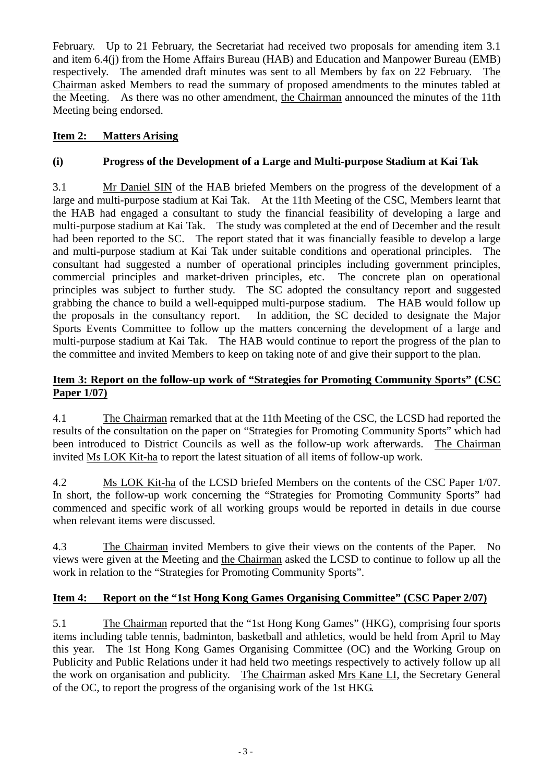February. Up to 21 February, the Secretariat had received two proposals for amending item 3.1 and item 6.4(j) from the Home Affairs Bureau (HAB) and Education and Manpower Bureau (EMB) respectively. The amended draft minutes was sent to all Members by fax on 22 February. The Chairman asked Members to read the summary of proposed amendments to the minutes tabled at the Meeting. As there was no other amendment, the Chairman announced the minutes of the 11th Meeting being endorsed.

### **Item 2: Matters Arising**

### **(i) Progress of the Development of a Large and Multi-purpose Stadium at Kai Tak**

3.1 Mr Daniel SIN of the HAB briefed Members on the progress of the development of a large and multi-purpose stadium at Kai Tak. At the 11th Meeting of the CSC, Members learnt that the HAB had engaged a consultant to study the financial feasibility of developing a large and multi-purpose stadium at Kai Tak. The study was completed at the end of December and the result had been reported to the SC. The report stated that it was financially feasible to develop a large and multi-purpose stadium at Kai Tak under suitable conditions and operational principles. The consultant had suggested a number of operational principles including government principles, commercial principles and market-driven principles, etc. The concrete plan on operational principles was subject to further study. The SC adopted the consultancy report and suggested grabbing the chance to build a well-equipped multi-purpose stadium. The HAB would follow up the proposals in the consultancy report. In addition, the SC decided to designate the Major Sports Events Committee to follow up the matters concerning the development of a large and multi-purpose stadium at Kai Tak. The HAB would continue to report the progress of the plan to the committee and invited Members to keep on taking note of and give their support to the plan.

### **Item 3: Report on the follow-up work of "Strategies for Promoting Community Sports" (CSC Paper 1/07)**

4.1 The Chairman remarked that at the 11th Meeting of the CSC, the LCSD had reported the results of the consultation on the paper on "Strategies for Promoting Community Sports" which had been introduced to District Councils as well as the follow-up work afterwards. The Chairman invited Ms LOK Kit-ha to report the latest situation of all items of follow-up work.

4.2 Ms LOK Kit-ha of the LCSD briefed Members on the contents of the CSC Paper 1/07. In short, the follow-up work concerning the "Strategies for Promoting Community Sports" had commenced and specific work of all working groups would be reported in details in due course when relevant items were discussed.

4.3 The Chairman invited Members to give their views on the contents of the Paper. No views were given at the Meeting and the Chairman asked the LCSD to continue to follow up all the work in relation to the "Strategies for Promoting Community Sports".

### **Item 4: Report on the "1st Hong Kong Games Organising Committee" (CSC Paper 2/07)**

5.1 The Chairman reported that the "1st Hong Kong Games" (HKG), comprising four sports items including table tennis, badminton, basketball and athletics, would be held from April to May this year. The 1st Hong Kong Games Organising Committee (OC) and the Working Group on Publicity and Public Relations under it had held two meetings respectively to actively follow up all the work on organisation and publicity. The Chairman asked Mrs Kane LI, the Secretary General of the OC, to report the progress of the organising work of the 1st HKG.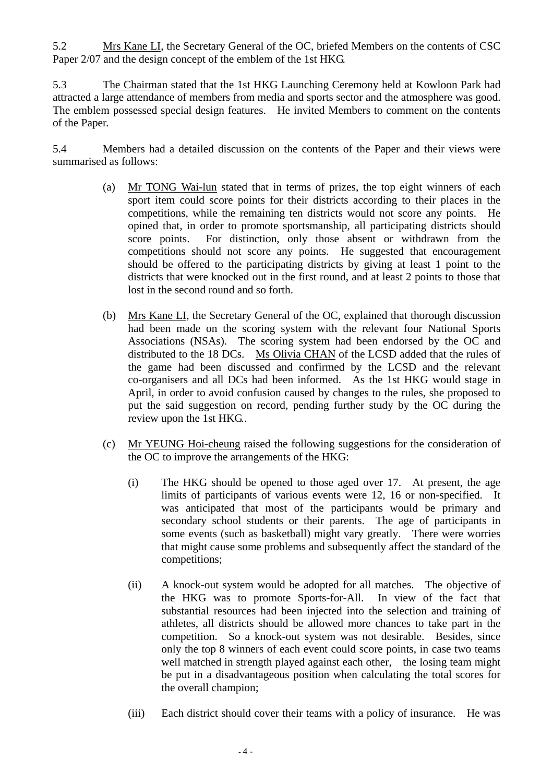5.2 Mrs Kane LI, the Secretary General of the OC, briefed Members on the contents of CSC Paper 2/07 and the design concept of the emblem of the 1st HKG.

5.3 The Chairman stated that the 1st HKG Launching Ceremony held at Kowloon Park had attracted a large attendance of members from media and sports sector and the atmosphere was good. The emblem possessed special design features. He invited Members to comment on the contents of the Paper.

5.4 Members had a detailed discussion on the contents of the Paper and their views were summarised as follows:

- (a) Mr TONG Wai-lun stated that in terms of prizes, the top eight winners of each sport item could score points for their districts according to their places in the competitions, while the remaining ten districts would not score any points. He opined that, in order to promote sportsmanship, all participating districts should score points. For distinction, only those absent or withdrawn from the competitions should not score any points. He suggested that encouragement should be offered to the participating districts by giving at least 1 point to the districts that were knocked out in the first round, and at least 2 points to those that lost in the second round and so forth.
- (b) Mrs Kane LI, the Secretary General of the OC, explained that thorough discussion had been made on the scoring system with the relevant four National Sports Associations (NSAs). The scoring system had been endorsed by the OC and distributed to the 18 DCs. Ms Olivia CHAN of the LCSD added that the rules of the game had been discussed and confirmed by the LCSD and the relevant co-organisers and all DCs had been informed. As the 1st HKG would stage in April, in order to avoid confusion caused by changes to the rules, she proposed to put the said suggestion on record, pending further study by the OC during the review upon the 1st HKG..
- (c) Mr YEUNG Hoi-cheung raised the following suggestions for the consideration of the OC to improve the arrangements of the HKG:
	- (i) The HKG should be opened to those aged over 17. At present, the age limits of participants of various events were 12, 16 or non-specified. It was anticipated that most of the participants would be primary and secondary school students or their parents. The age of participants in some events (such as basketball) might vary greatly. There were worries that might cause some problems and subsequently affect the standard of the competitions;
	- (ii) A knock-out system would be adopted for all matches. The objective of the HKG was to promote Sports-for-All. In view of the fact that substantial resources had been injected into the selection and training of athletes, all districts should be allowed more chances to take part in the competition. So a knock-out system was not desirable. Besides, since only the top 8 winners of each event could score points, in case two teams well matched in strength played against each other, the losing team might be put in a disadvantageous position when calculating the total scores for the overall champion;
	- (iii) Each district should cover their teams with a policy of insurance. He was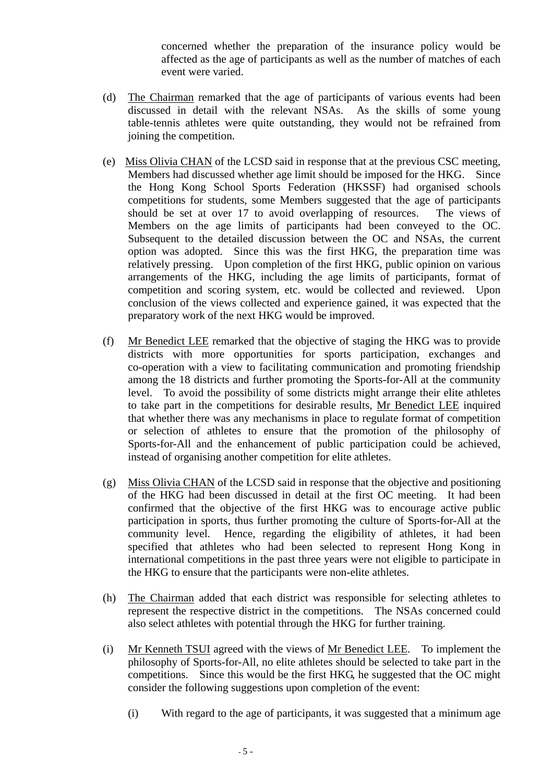concerned whether the preparation of the insurance policy would be affected as the age of participants as well as the number of matches of each event were varied.

- (d) The Chairman remarked that the age of participants of various events had been discussed in detail with the relevant NSAs. As the skills of some young table-tennis athletes were quite outstanding, they would not be refrained from joining the competition.
- (e) Miss Olivia CHAN of the LCSD said in response that at the previous CSC meeting, Members had discussed whether age limit should be imposed for the HKG. Since the Hong Kong School Sports Federation (HKSSF) had organised schools competitions for students, some Members suggested that the age of participants should be set at over 17 to avoid overlapping of resources. The views of Members on the age limits of participants had been conveyed to the OC. Subsequent to the detailed discussion between the OC and NSAs, the current option was adopted. Since this was the first HKG, the preparation time was relatively pressing. Upon completion of the first HKG, public opinion on various arrangements of the HKG, including the age limits of participants, format of competition and scoring system, etc. would be collected and reviewed. Upon conclusion of the views collected and experience gained, it was expected that the preparatory work of the next HKG would be improved.
- (f) Mr Benedict LEE remarked that the objective of staging the HKG was to provide districts with more opportunities for sports participation, exchanges and co-operation with a view to facilitating communication and promoting friendship among the 18 districts and further promoting the Sports-for-All at the community level. To avoid the possibility of some districts might arrange their elite athletes to take part in the competitions for desirable results, Mr Benedict LEE inquired that whether there was any mechanisms in place to regulate format of competition or selection of athletes to ensure that the promotion of the philosophy of Sports-for-All and the enhancement of public participation could be achieved, instead of organising another competition for elite athletes.
- (g) Miss Olivia CHAN of the LCSD said in response that the objective and positioning of the HKG had been discussed in detail at the first OC meeting. It had been confirmed that the objective of the first HKG was to encourage active public participation in sports, thus further promoting the culture of Sports-for-All at the community level. Hence, regarding the eligibility of athletes, it had been specified that athletes who had been selected to represent Hong Kong in international competitions in the past three years were not eligible to participate in the HKG to ensure that the participants were non-elite athletes.
- (h) The Chairman added that each district was responsible for selecting athletes to represent the respective district in the competitions. The NSAs concerned could also select athletes with potential through the HKG for further training.
- (i) Mr Kenneth TSUI agreed with the views of Mr Benedict LEE. To implement the philosophy of Sports-for-All, no elite athletes should be selected to take part in the competitions. Since this would be the first HKG, he suggested that the OC might consider the following suggestions upon completion of the event:
	- (i) With regard to the age of participants, it was suggested that a minimum age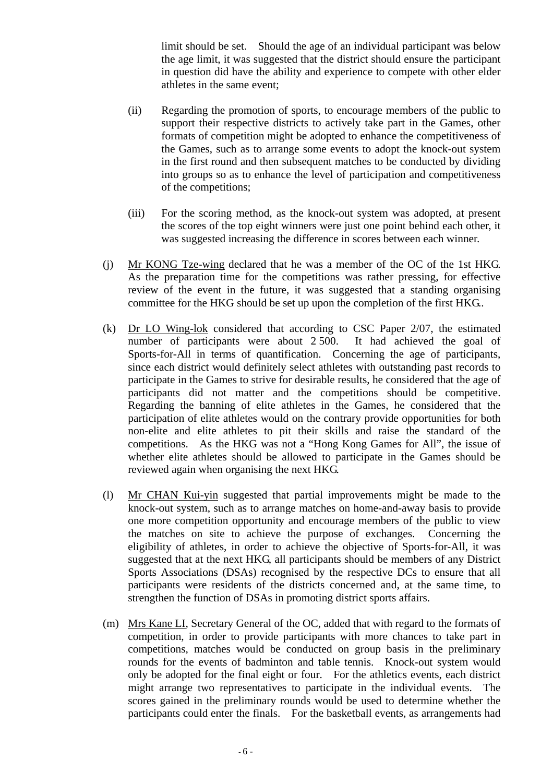limit should be set. Should the age of an individual participant was below the age limit, it was suggested that the district should ensure the participant in question did have the ability and experience to compete with other elder athletes in the same event;

- (ii) Regarding the promotion of sports, to encourage members of the public to support their respective districts to actively take part in the Games, other formats of competition might be adopted to enhance the competitiveness of the Games, such as to arrange some events to adopt the knock-out system in the first round and then subsequent matches to be conducted by dividing into groups so as to enhance the level of participation and competitiveness of the competitions;
- (iii) For the scoring method, as the knock-out system was adopted, at present the scores of the top eight winners were just one point behind each other, it was suggested increasing the difference in scores between each winner.
- (j) Mr KONG Tze-wing declared that he was a member of the OC of the 1st HKG. As the preparation time for the competitions was rather pressing, for effective review of the event in the future, it was suggested that a standing organising committee for the HKG should be set up upon the completion of the first HKG..
- (k) Dr LO Wing-lok considered that according to CSC Paper 2/07, the estimated number of participants were about 2.500. It had achieved the goal of Sports-for-All in terms of quantification. Concerning the age of participants, since each district would definitely select athletes with outstanding past records to participate in the Games to strive for desirable results, he considered that the age of participants did not matter and the competitions should be competitive. Regarding the banning of elite athletes in the Games, he considered that the participation of elite athletes would on the contrary provide opportunities for both non-elite and elite athletes to pit their skills and raise the standard of the competitions. As the HKG was not a "Hong Kong Games for All", the issue of whether elite athletes should be allowed to participate in the Games should be reviewed again when organising the next HKG.
- (l) Mr CHAN Kui-yin suggested that partial improvements might be made to the knock-out system, such as to arrange matches on home-and-away basis to provide one more competition opportunity and encourage members of the public to view the matches on site to achieve the purpose of exchanges. Concerning the eligibility of athletes, in order to achieve the objective of Sports-for-All, it was suggested that at the next HKG, all participants should be members of any District Sports Associations (DSAs) recognised by the respective DCs to ensure that all participants were residents of the districts concerned and, at the same time, to strengthen the function of DSAs in promoting district sports affairs.
- (m) Mrs Kane LI, Secretary General of the OC, added that with regard to the formats of competition, in order to provide participants with more chances to take part in competitions, matches would be conducted on group basis in the preliminary rounds for the events of badminton and table tennis. Knock-out system would only be adopted for the final eight or four. For the athletics events, each district might arrange two representatives to participate in the individual events. The scores gained in the preliminary rounds would be used to determine whether the participants could enter the finals. For the basketball events, as arrangements had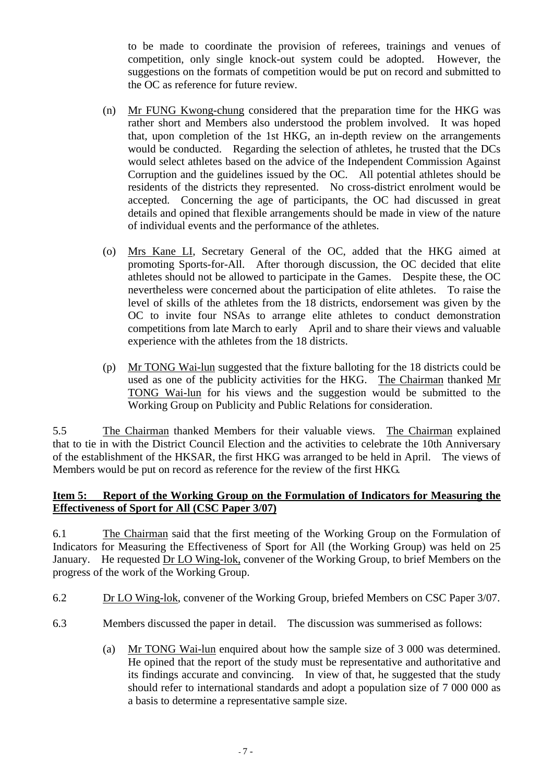to be made to coordinate the provision of referees, trainings and venues of competition, only single knock-out system could be adopted. However, the suggestions on the formats of competition would be put on record and submitted to the OC as reference for future review.

- (n) Mr FUNG Kwong-chung considered that the preparation time for the HKG was rather short and Members also understood the problem involved. It was hoped that, upon completion of the 1st HKG, an in-depth review on the arrangements would be conducted. Regarding the selection of athletes, he trusted that the DCs would select athletes based on the advice of the Independent Commission Against Corruption and the guidelines issued by the OC. All potential athletes should be residents of the districts they represented. No cross-district enrolment would be accepted. Concerning the age of participants, the OC had discussed in great details and opined that flexible arrangements should be made in view of the nature of individual events and the performance of the athletes.
- (o) Mrs Kane LI, Secretary General of the OC, added that the HKG aimed at promoting Sports-for-All. After thorough discussion, the OC decided that elite athletes should not be allowed to participate in the Games. Despite these, the OC nevertheless were concerned about the participation of elite athletes. To raise the level of skills of the athletes from the 18 districts, endorsement was given by the OC to invite four NSAs to arrange elite athletes to conduct demonstration competitions from late March to early April and to share their views and valuable experience with the athletes from the 18 districts.
- (p) Mr TONG Wai-lun suggested that the fixture balloting for the 18 districts could be used as one of the publicity activities for the HKG. The Chairman thanked Mr TONG Wai-lun for his views and the suggestion would be submitted to the Working Group on Publicity and Public Relations for consideration.

5.5 The Chairman thanked Members for their valuable views. The Chairman explained that to tie in with the District Council Election and the activities to celebrate the 10th Anniversary of the establishment of the HKSAR, the first HKG was arranged to be held in April. The views of Members would be put on record as reference for the review of the first HKG.

### **Item 5: Report of the Working Group on the Formulation of Indicators for Measuring the Effectiveness of Sport for All (CSC Paper 3/07)**

6.1 The Chairman said that the first meeting of the Working Group on the Formulation of Indicators for Measuring the Effectiveness of Sport for All (the Working Group) was held on 25 January. He requested Dr LO Wing-lok, convener of the Working Group, to brief Members on the progress of the work of the Working Group.

6.2 Dr LO Wing-lok, convener of the Working Group, briefed Members on CSC Paper 3/07.

6.3 Members discussed the paper in detail. The discussion was summerised as follows:

(a) Mr TONG Wai-lun enquired about how the sample size of 3 000 was determined. He opined that the report of the study must be representative and authoritative and its findings accurate and convincing. In view of that, he suggested that the study should refer to international standards and adopt a population size of 7 000 000 as a basis to determine a representative sample size.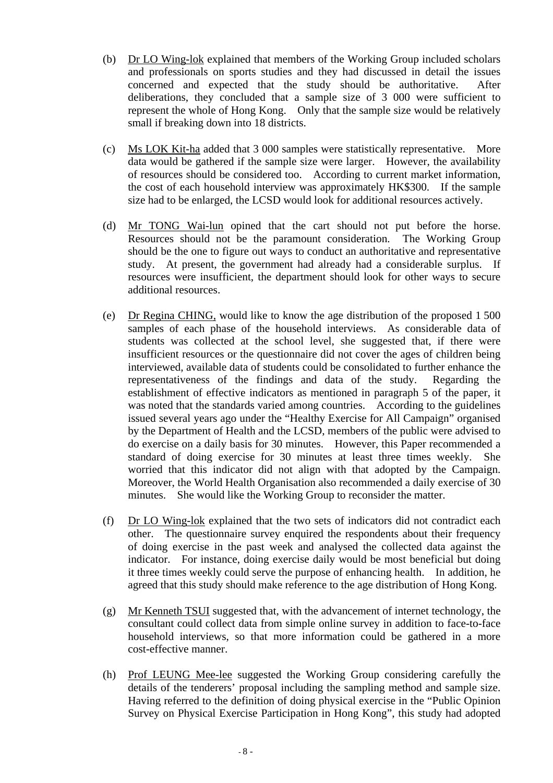- (b) Dr LO Wing-lok explained that members of the Working Group included scholars and professionals on sports studies and they had discussed in detail the issues concerned and expected that the study should be authoritative. After deliberations, they concluded that a sample size of 3 000 were sufficient to represent the whole of Hong Kong. Only that the sample size would be relatively small if breaking down into 18 districts.
- (c) Ms LOK Kit-ha added that 3 000 samples were statistically representative. More data would be gathered if the sample size were larger. However, the availability of resources should be considered too. According to current market information, the cost of each household interview was approximately HK\$300. If the sample size had to be enlarged, the LCSD would look for additional resources actively.
- (d) Mr TONG Wai-lun opined that the cart should not put before the horse. Resources should not be the paramount consideration. The Working Group should be the one to figure out ways to conduct an authoritative and representative study. At present, the government had already had a considerable surplus. If resources were insufficient, the department should look for other ways to secure additional resources.
- (e) Dr Regina CHING, would like to know the age distribution of the proposed 1 500 samples of each phase of the household interviews. As considerable data of students was collected at the school level, she suggested that, if there were insufficient resources or the questionnaire did not cover the ages of children being interviewed, available data of students could be consolidated to further enhance the representativeness of the findings and data of the study. Regarding the establishment of effective indicators as mentioned in paragraph 5 of the paper, it was noted that the standards varied among countries. According to the guidelines issued several years ago under the "Healthy Exercise for All Campaign" organised by the Department of Health and the LCSD, members of the public were advised to do exercise on a daily basis for 30 minutes. However, this Paper recommended a standard of doing exercise for 30 minutes at least three times weekly. She worried that this indicator did not align with that adopted by the Campaign. Moreover, the World Health Organisation also recommended a daily exercise of 30 minutes. She would like the Working Group to reconsider the matter.
- (f) Dr LO Wing-lok explained that the two sets of indicators did not contradict each other. The questionnaire survey enquired the respondents about their frequency of doing exercise in the past week and analysed the collected data against the indicator. For instance, doing exercise daily would be most beneficial but doing it three times weekly could serve the purpose of enhancing health. In addition, he agreed that this study should make reference to the age distribution of Hong Kong.
- (g) Mr Kenneth TSUI suggested that, with the advancement of internet technology, the consultant could collect data from simple online survey in addition to face-to-face household interviews, so that more information could be gathered in a more cost-effective manner.
- (h) Prof LEUNG Mee-lee suggested the Working Group considering carefully the details of the tenderers' proposal including the sampling method and sample size. Having referred to the definition of doing physical exercise in the "Public Opinion Survey on Physical Exercise Participation in Hong Kong", this study had adopted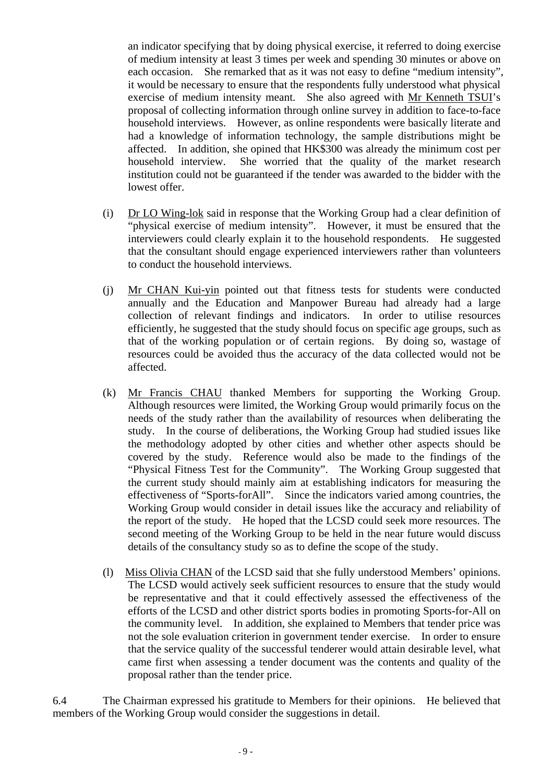an indicator specifying that by doing physical exercise, it referred to doing exercise of medium intensity at least 3 times per week and spending 30 minutes or above on each occasion. She remarked that as it was not easy to define "medium intensity", it would be necessary to ensure that the respondents fully understood what physical exercise of medium intensity meant. She also agreed with Mr Kenneth TSUI's proposal of collecting information through online survey in addition to face-to-face household interviews. However, as online respondents were basically literate and had a knowledge of information technology, the sample distributions might be affected. In addition, she opined that HK\$300 was already the minimum cost per household interview. She worried that the quality of the market research institution could not be guaranteed if the tender was awarded to the bidder with the lowest offer.

- (i) Dr LO Wing-lok said in response that the Working Group had a clear definition of "physical exercise of medium intensity". However, it must be ensured that the interviewers could clearly explain it to the household respondents. He suggested that the consultant should engage experienced interviewers rather than volunteers to conduct the household interviews.
- (j) Mr CHAN Kui-yin pointed out that fitness tests for students were conducted annually and the Education and Manpower Bureau had already had a large collection of relevant findings and indicators. In order to utilise resources efficiently, he suggested that the study should focus on specific age groups, such as that of the working population or of certain regions. By doing so, wastage of resources could be avoided thus the accuracy of the data collected would not be affected.
- (k) Mr Francis CHAU thanked Members for supporting the Working Group. Although resources were limited, the Working Group would primarily focus on the needs of the study rather than the availability of resources when deliberating the study. In the course of deliberations, the Working Group had studied issues like the methodology adopted by other cities and whether other aspects should be covered by the study. Reference would also be made to the findings of the "Physical Fitness Test for the Community". The Working Group suggested that the current study should mainly aim at establishing indicators for measuring the effectiveness of "Sports-forAll". Since the indicators varied among countries, the Working Group would consider in detail issues like the accuracy and reliability of the report of the study. He hoped that the LCSD could seek more resources. The second meeting of the Working Group to be held in the near future would discuss details of the consultancy study so as to define the scope of the study.
- (l) Miss Olivia CHAN of the LCSD said that she fully understood Members' opinions. The LCSD would actively seek sufficient resources to ensure that the study would be representative and that it could effectively assessed the effectiveness of the efforts of the LCSD and other district sports bodies in promoting Sports-for-All on the community level. In addition, she explained to Members that tender price was not the sole evaluation criterion in government tender exercise. In order to ensure that the service quality of the successful tenderer would attain desirable level, what came first when assessing a tender document was the contents and quality of the proposal rather than the tender price.

6.4 The Chairman expressed his gratitude to Members for their opinions. He believed that members of the Working Group would consider the suggestions in detail.